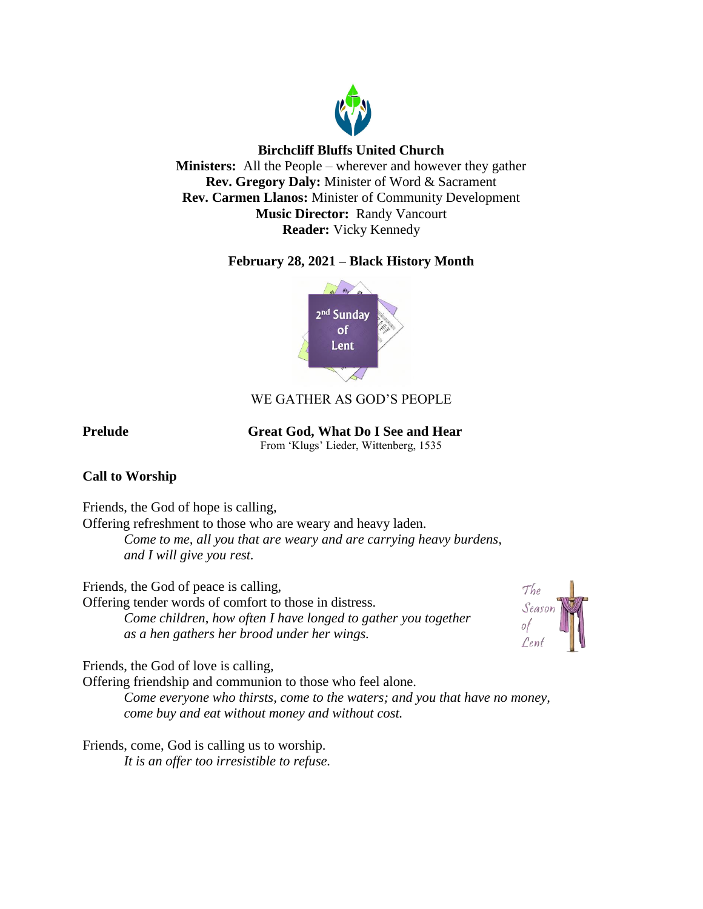

# **Birchcliff Bluffs United Church**

**Ministers:** All the People – wherever and however they gather **Rev. Gregory Daly:** Minister of Word & Sacrament **Rev. Carmen Llanos:** Minister of Community Development **Music Director:** Randy Vancourt **Reader:** Vicky Kennedy

# **February 28, 2021 – Black History Month**



# WE GATHER AS GOD'S PEOPLE

**Prelude** Great God, What Do I See and Hear

From 'Klugs' Lieder, Wittenberg, 1535

# **Call to Worship**

Friends, the God of hope is calling,

Offering refreshment to those who are weary and heavy laden.

*Come to me, all you that are weary and are carrying heavy burdens, and I will give you rest.*

Friends, the God of peace is calling,

Offering tender words of comfort to those in distress. *Come children*, *how often I have longed to gather you together as a hen gathers her brood under her wings.*



Friends, the God of love is calling,

Offering friendship and communion to those who feel alone.

*Come everyone who thirsts, come to the waters; and you that have no money, come buy and eat without money and without cost.* 

Friends, come, God is calling us to worship. *It is an offer too irresistible to refuse.*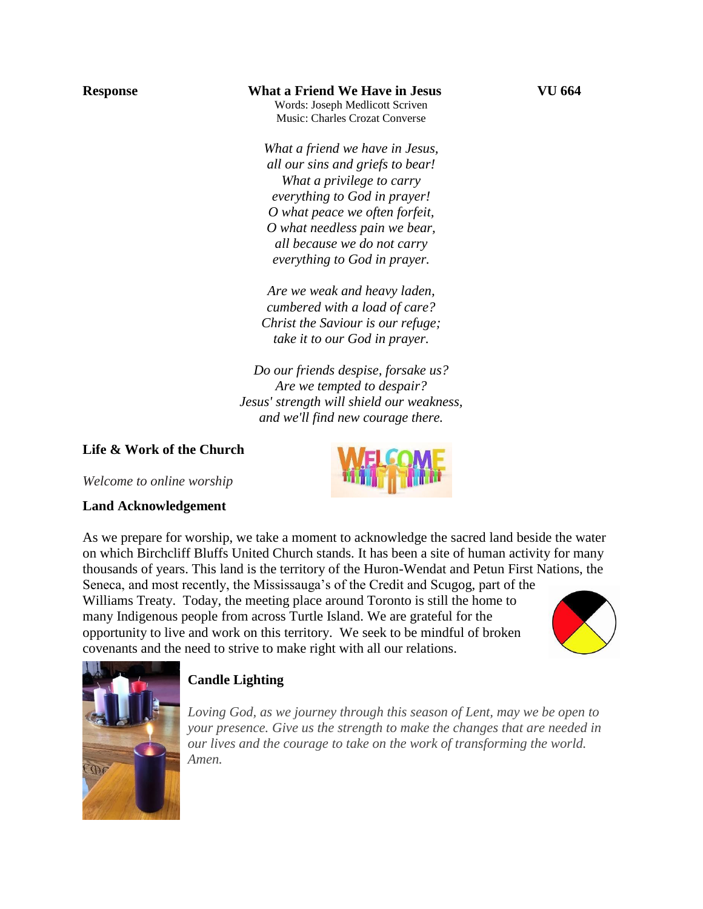## **Response What a Friend We Have in Jesus VU 664**

Words: Joseph Medlicott Scriven Music: Charles Crozat Converse

*What a friend we have in Jesus, all our sins and griefs to bear! What a privilege to carry everything to God in prayer! O what peace we often forfeit, O what needless pain we bear, all because we do not carry everything to God in prayer.*

*Are we weak and heavy laden, cumbered with a load of care? Christ the Saviour is our refuge; take it to our God in prayer.*

*Do our friends despise, forsake us? Are we tempted to despair? Jesus' strength will shield our weakness, and we'll find new courage there.*

# **Life & Work of the Church**

*Welcome to online worship*

## **Land Acknowledgement**

As we prepare for worship, we take a moment to acknowledge the sacred land beside the water on which Birchcliff Bluffs United Church stands. It has been a site of human activity for many thousands of years. This land is the territory of the Huron-Wendat and Petun First Nations, the

Seneca, and most recently, the Mississauga's of the Credit and Scugog, part of the Williams Treaty. Today, the meeting place around Toronto is still the home to many Indigenous people from across Turtle Island. We are grateful for the opportunity to live and work on this territory. We seek to be mindful of broken covenants and the need to strive to make right with all our relations.





# **Candle Lighting**

*Loving God, as we journey through this season of Lent, may we be open to your presence. Give us the strength to make the changes that are needed in our lives and the courage to take on the work of transforming the world. Amen.*

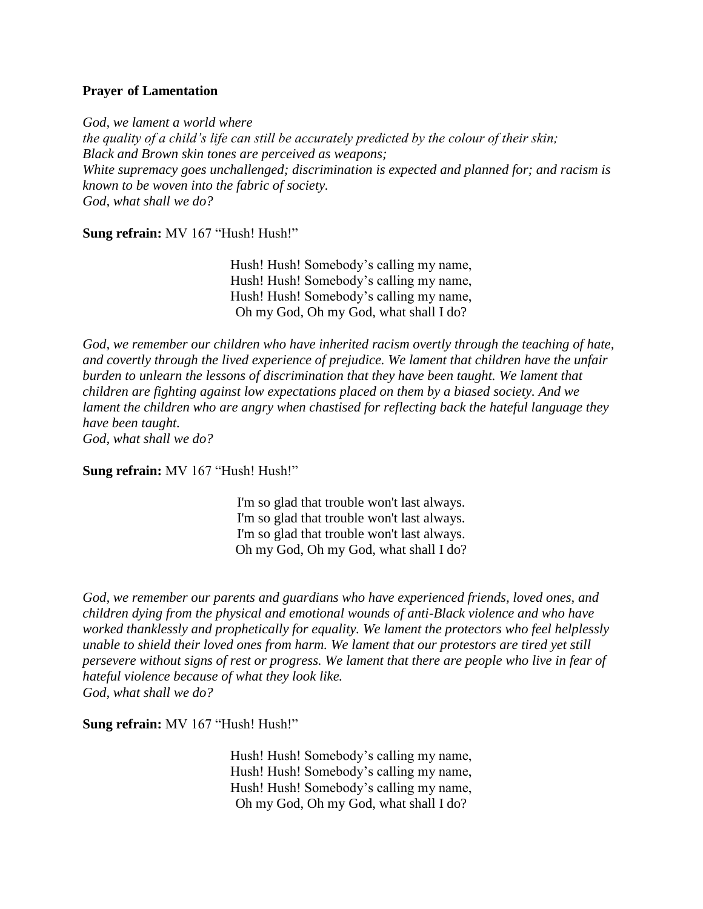#### **Prayer of Lamentation**

*God, we lament a world where the quality of a child's life can still be accurately predicted by the colour of their skin; Black and Brown skin tones are perceived as weapons; White supremacy goes unchallenged; discrimination is expected and planned for; and racism is known to be woven into the fabric of society. God, what shall we do?*

Sung refrain: MV 167 "Hush! Hush!"

Hush! Hush! Somebody's calling my name, Hush! Hush! Somebody's calling my name, Hush! Hush! Somebody's calling my name, Oh my God, Oh my God, what shall I do?

*God, we remember our children who have inherited racism overtly through the teaching of hate, and covertly through the lived experience of prejudice. We lament that children have the unfair burden to unlearn the lessons of discrimination that they have been taught. We lament that children are fighting against low expectations placed on them by a biased society. And we lament the children who are angry when chastised for reflecting back the hateful language they have been taught. God, what shall we do?*

Sung refrain: MV 167 "Hush! Hush!"

I'm so glad that trouble won't last always. I'm so glad that trouble won't last always. I'm so glad that trouble won't last always. Oh my God, Oh my God, what shall I do?

*God, we remember our parents and guardians who have experienced friends, loved ones, and children dying from the physical and emotional wounds of anti-Black violence and who have worked thanklessly and prophetically for equality. We lament the protectors who feel helplessly unable to shield their loved ones from harm. We lament that our protestors are tired yet still persevere without signs of rest or progress. We lament that there are people who live in fear of hateful violence because of what they look like. God, what shall we do?*

**Sung refrain:** MV 167 "Hush! Hush!"

Hush! Hush! Somebody's calling my name, Hush! Hush! Somebody's calling my name, Hush! Hush! Somebody's calling my name, Oh my God, Oh my God, what shall I do?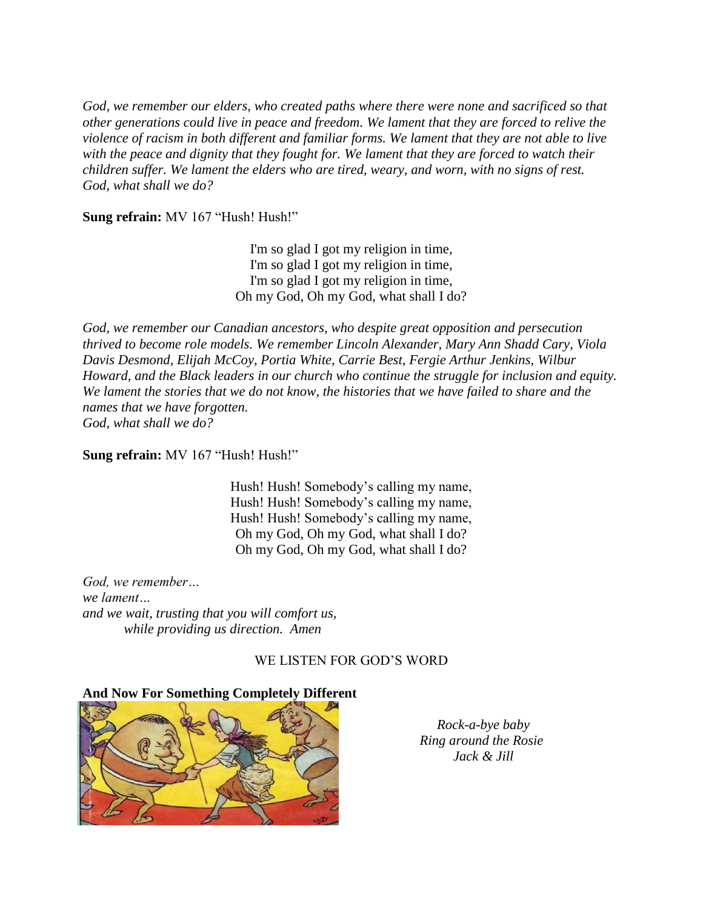*God, we remember our elders, who created paths where there were none and sacrificed so that other generations could live in peace and freedom. We lament that they are forced to relive the violence of racism in both different and familiar forms. We lament that they are not able to live with the peace and dignity that they fought for. We lament that they are forced to watch their children suffer. We lament the elders who are tired, weary, and worn, with no signs of rest. God, what shall we do?*

**Sung refrain:** MV 167 "Hush! Hush!"

I'm so glad I got my religion in time, I'm so glad I got my religion in time, I'm so glad I got my religion in time, Oh my God, Oh my God, what shall I do?

*God, we remember our Canadian ancestors, who despite great opposition and persecution thrived to become role models. We remember Lincoln Alexander, Mary Ann Shadd Cary, Viola Davis Desmond, Elijah McCoy, Portia White, Carrie Best, Fergie Arthur Jenkins, Wilbur Howard, and the Black leaders in our church who continue the struggle for inclusion and equity. We lament the stories that we do not know, the histories that we have failed to share and the names that we have forgotten. God, what shall we do?*

**Sung refrain:** MV 167 "Hush! Hush!"

Hush! Hush! Somebody's calling my name, Hush! Hush! Somebody's calling my name, Hush! Hush! Somebody's calling my name, Oh my God, Oh my God, what shall I do? Oh my God, Oh my God, what shall I do?

*God, we remember… we lament… and we wait, trusting that you will comfort us, while providing us direction. Amen*

#### WE LISTEN FOR GOD'S WORD

## **And Now For Something Completely Different**



 *Rock-a-bye baby Ring around the Rosie Jack & Jill*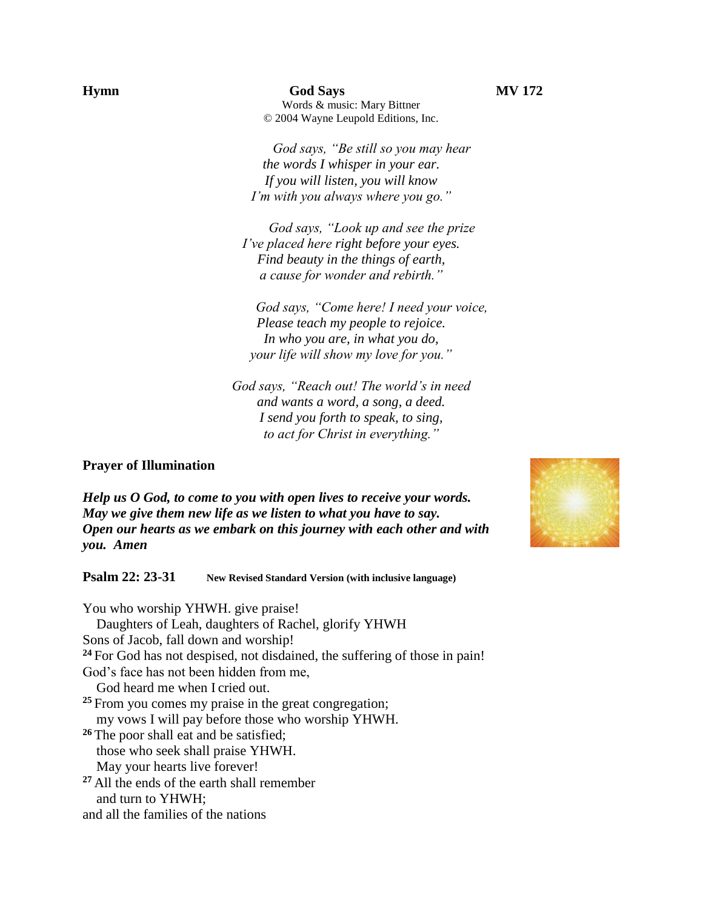**Hymn God Says MV 172** Words & music: Mary Bittner © 2004 Wayne Leupold Editions, Inc.

> *God says, "Be still so you may hear the words I whisper in your ear. If you will listen, you will know I'm with you always where you go."*

*God says, "Look up and see the prize I've placed here right before your eyes. Find beauty in the things of earth, a cause for wonder and rebirth."*

*God says, "Come here! I need your voice, Please teach my people to rejoice. In who you are, in what you do, your life will show my love for you."*

*God says, "Reach out! The world's in need and wants a word, a song, a deed. I send you forth to speak, to sing, to act for Christ in everything."*

#### **Prayer of Illumination**

*Help us O God, to come to you with open lives to receive your words. May we give them new life as we listen to what you have to say. Open our hearts as we embark on this journey with each other and with you. Amen*

**Psalm 22: 23-31 New Revised Standard Version (with inclusive language)**

You who worship YHWH. give praise! Daughters of Leah, daughters of Rachel, glorify YHWH Sons of Jacob, fall down and worship! **<sup>24</sup>** For God has not despised, not disdained, the suffering of those in pain! God's face has not been hidden from me, God heard me when I cried out. **<sup>25</sup>** From you comes my praise in the great congregation; my vows I will pay before those who worship YHWH. <sup>26</sup> The poor shall eat and be satisfied; those who seek shall praise YHWH. May your hearts live forever! **<sup>27</sup>** All the ends of the earth shall remember and turn to YHWH; and all the families of the nations

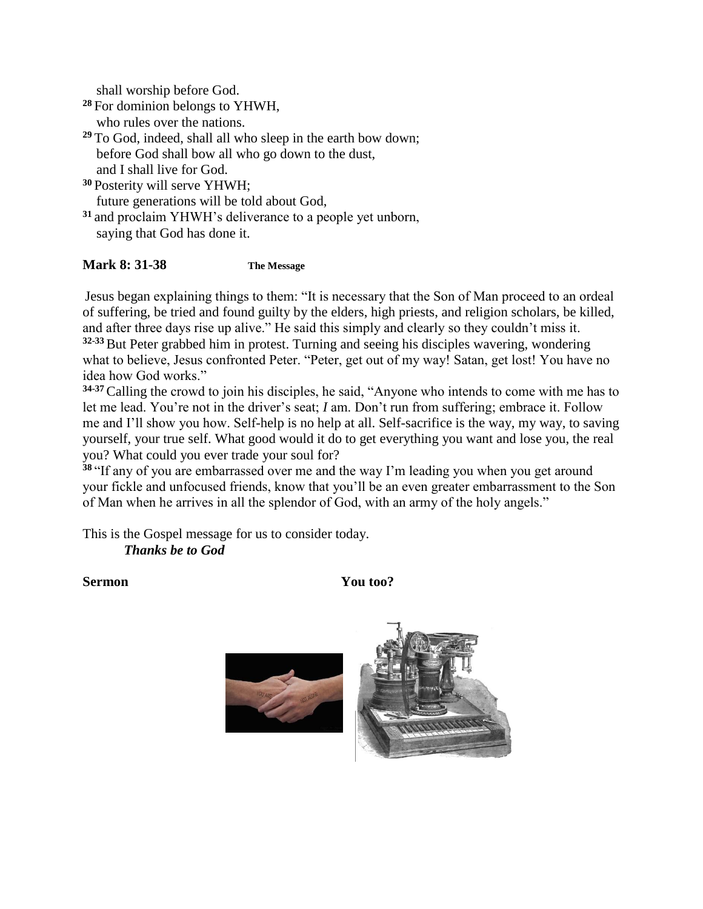shall worship before God.

- **<sup>28</sup>** For dominion belongs to YHWH, who rules over the nations.
- **<sup>29</sup>** To God, indeed, shall all who sleep in the earth bow down; before God shall bow all who go down to the dust, and I shall live for God.
- **<sup>30</sup>** Posterity will serve YHWH; future generations will be told about God,
- **<sup>31</sup>** and proclaim YHWH's deliverance to a people yet unborn, saying that God has done it.

## **Mark 8: 31-38 The Message**

Jesus began explaining things to them: "It is necessary that the Son of Man proceed to an ordeal of suffering, be tried and found guilty by the elders, high priests, and religion scholars, be killed, and after three days rise up alive." He said this simply and clearly so they couldn't miss it. **32-33**But Peter grabbed him in protest. Turning and seeing his disciples wavering, wondering what to believe, Jesus confronted Peter. "Peter, get out of my way! Satan, get lost! You have no idea how God works."

**34-37**Calling the crowd to join his disciples, he said, "Anyone who intends to come with me has to let me lead. You're not in the driver's seat; *I* am. Don't run from suffering; embrace it. Follow me and I'll show you how. Self-help is no help at all. Self-sacrifice is the way, my way, to saving yourself, your true self. What good would it do to get everything you want and lose you, the real you? What could you ever trade your soul for?

**<sup>38</sup>** "If any of you are embarrassed over me and the way I'm leading you when you get around your fickle and unfocused friends, know that you'll be an even greater embarrassment to the Son of Man when he arrives in all the splendor of God, with an army of the holy angels."

This is the Gospel message for us to consider today. *Thanks be to God*

Sermon You too?

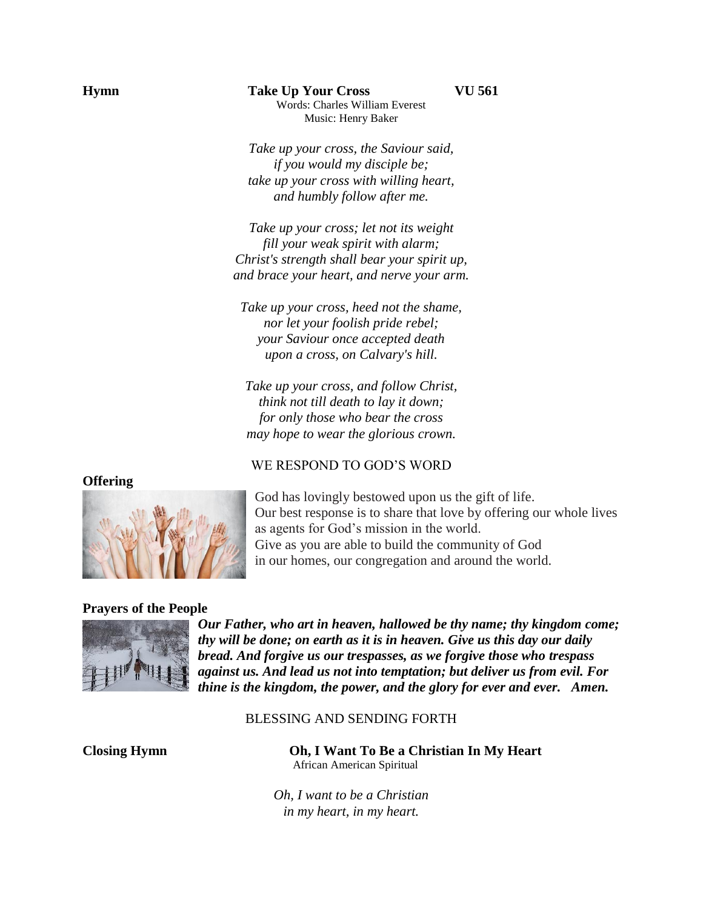### **Hymn Take Up Your Cross VU 561** Words: Charles William Everest Music: Henry Baker

*Take up your cross, the Saviour said, if you would my disciple be; take up your cross with willing heart, and humbly follow after me.*

*Take up your cross; let not its weight fill your weak spirit with alarm; Christ's strength shall bear your spirit up, and brace your heart, and nerve your arm.*

*Take up your cross, heed not the shame, nor let your foolish pride rebel; your Saviour once accepted death upon a cross, on Calvary's hill.*

*Take up your cross, and follow Christ, think not till death to lay it down; for only those who bear the cross may hope to wear the glorious crown.*

#### WE RESPOND TO GOD'S WORD

God has lovingly bestowed upon us the gift of life. Our best response is to share that love by offering our whole lives as agents for God's mission in the world. Give as you are able to build the community of God in our homes, our congregation and around the world.

#### **Prayers of the People**



*Our Father, who art in heaven, hallowed be thy name; thy kingdom come; thy will be done; on earth as it is in heaven. Give us this day our daily bread. And forgive us our trespasses, as we forgive those who trespass against us. And lead us not into temptation; but deliver us from evil. For thine is the kingdom, the power, and the glory for ever and ever. Amen.*

#### BLESSING AND SENDING FORTH

**Closing Hymn Oh, I Want To Be a Christian In My Heart** African American Spiritual

> *Oh, I want to be a Christian in my heart, in my heart.*

**Offering**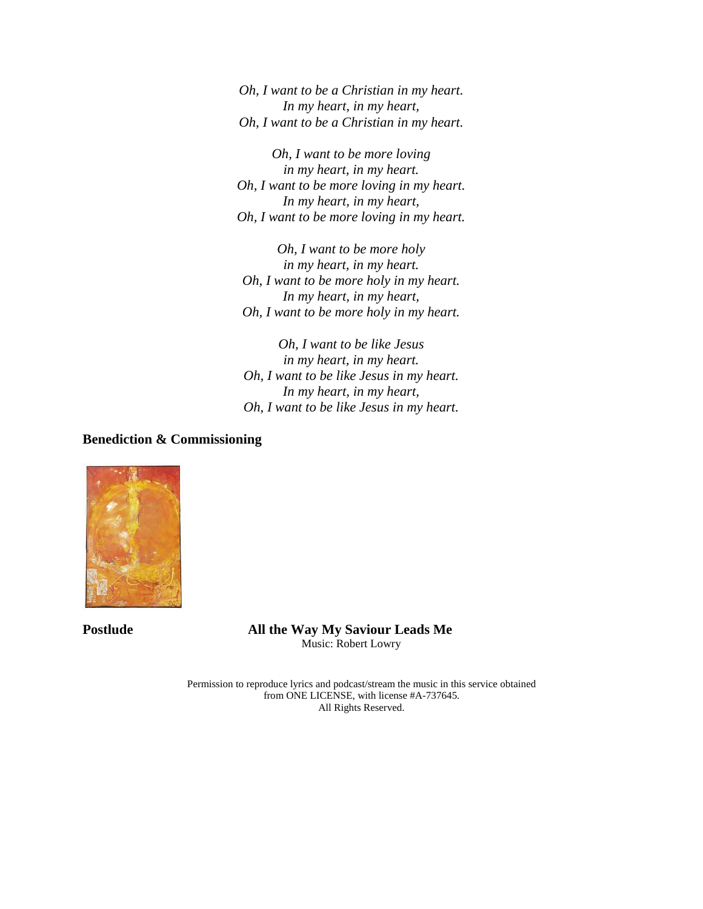*Oh, I want to be a Christian in my heart. In my heart, in my heart, Oh, I want to be a Christian in my heart.*

*Oh, I want to be more loving in my heart, in my heart. Oh, I want to be more loving in my heart. In my heart, in my heart, Oh, I want to be more loving in my heart.*

*Oh, I want to be more holy in my heart, in my heart. Oh, I want to be more holy in my heart. In my heart, in my heart, Oh, I want to be more holy in my heart.*

*Oh, I want to be like Jesus in my heart, in my heart. Oh, I want to be like Jesus in my heart. In my heart, in my heart, Oh, I want to be like Jesus in my heart.*

**Benediction & Commissioning**



**Postlude All the Way My Saviour Leads Me** Music: Robert Lowry

> Permission to reproduce lyrics and podcast/stream the music in this service obtained from ONE LICENSE, with license #A-737645. All Rights Reserved.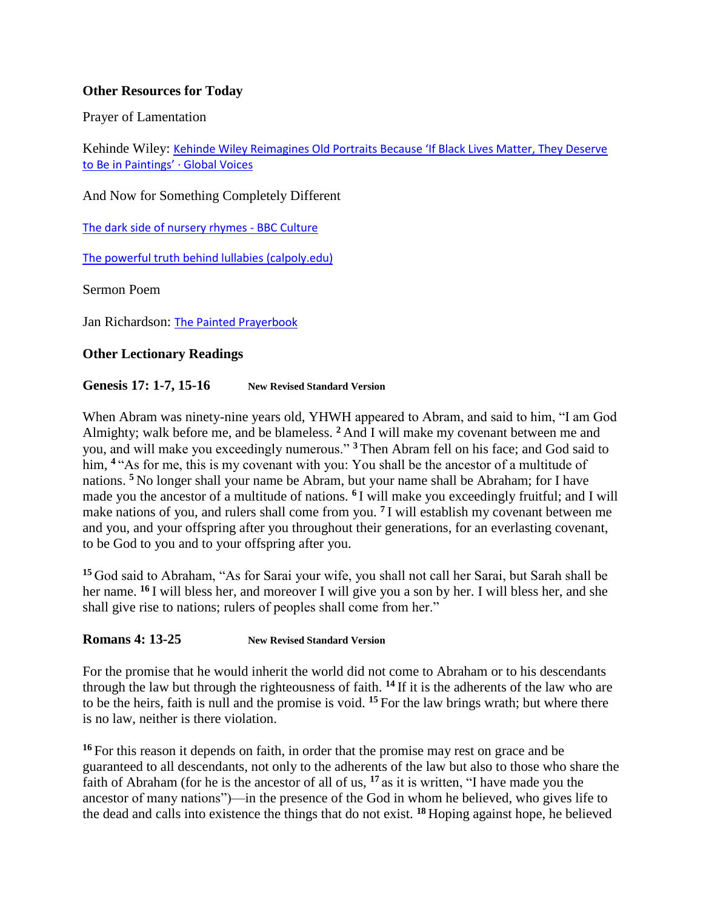# **Other Resources for Today**

Prayer of Lamentation

Kehinde Wiley: Kehinde Wiley Reimagines Old Portraits Because 'If Black Lives Matter, They Deserve [to Be in Paintings'](https://globalvoices.org/2016/11/05/kehinde-wiley-reimagines-old-portraits-because-if-black-lives-matter-they-deserve-to-be-in-paintings/) · Global Voices

And Now for Something Completely Different

[The dark side of nursery rhymes -](https://www.bbc.com/culture/article/20150610-the-dark-side-of-nursery-rhymes) BBC Culture

[The powerful truth behind lullabies \(calpoly.edu\)](https://digitalcommons.calpoly.edu/cgi/viewcontent.cgi?article=1049&context=musp)

Sermon Poem

Jan Richardson: [The Painted Prayerbook](http://paintedprayerbook.com/)

# **Other Lectionary Readings**

### **Genesis 17: 1-7, 15-16 New Revised Standard Version**

When Abram was ninety-nine years old, YHWH appeared to Abram, and said to him, "I am God Almighty; walk before me, and be blameless. **<sup>2</sup>** And I will make my covenant between me and you, and will make you exceedingly numerous." **<sup>3</sup>** Then Abram fell on his face; and God said to him, <sup>4</sup> "As for me, this is my covenant with you: You shall be the ancestor of a multitude of nations. **<sup>5</sup>** No longer shall your name be Abram, but your name shall be Abraham; for I have made you the ancestor of a multitude of nations. **<sup>6</sup>** I will make you exceedingly fruitful; and I will make nations of you, and rulers shall come from you. **<sup>7</sup>** I will establish my covenant between me and you, and your offspring after you throughout their generations, for an everlasting covenant, to be God to you and to your offspring after you.

**<sup>15</sup>** God said to Abraham, "As for Sarai your wife, you shall not call her Sarai, but Sarah shall be her name. **<sup>16</sup>** I will bless her, and moreover I will give you a son by her. I will bless her, and she shall give rise to nations; rulers of peoples shall come from her."

## **Romans 4: 13-25 New Revised Standard Version**

For the promise that he would inherit the world did not come to Abraham or to his descendants through the law but through the righteousness of faith. **<sup>14</sup>** If it is the adherents of the law who are to be the heirs, faith is null and the promise is void. **<sup>15</sup>** For the law brings wrath; but where there is no law, neither is there violation.

**<sup>16</sup>** For this reason it depends on faith, in order that the promise may rest on grace and be guaranteed to all descendants, not only to the adherents of the law but also to those who share the faith of Abraham (for he is the ancestor of all of us, **<sup>17</sup>** as it is written, "I have made you the ancestor of many nations")—in the presence of the God in whom he believed, who gives life to the dead and calls into existence the things that do not exist. **<sup>18</sup>** Hoping against hope, he believed